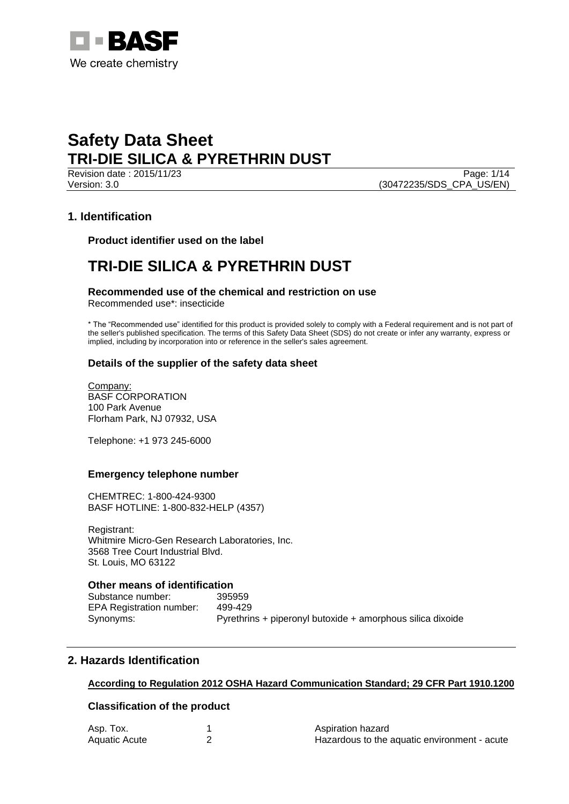

Revision date : 2015/11/23 Page: 1/14 Version: 3.0 (30472235/SDS\_CPA\_US/EN)

## **1. Identification**

**Product identifier used on the label**

## **TRI-DIE SILICA & PYRETHRIN DUST**

**Recommended use of the chemical and restriction on use**

Recommended use\*: insecticide

\* The "Recommended use" identified for this product is provided solely to comply with a Federal requirement and is not part of the seller's published specification. The terms of this Safety Data Sheet (SDS) do not create or infer any warranty, express or implied, including by incorporation into or reference in the seller's sales agreement.

## **Details of the supplier of the safety data sheet**

Company: BASF CORPORATION 100 Park Avenue Florham Park, NJ 07932, USA

Telephone: +1 973 245-6000

## **Emergency telephone number**

CHEMTREC: 1-800-424-9300 BASF HOTLINE: 1-800-832-HELP (4357)

Registrant: Whitmire Micro-Gen Research Laboratories, Inc. 3568 Tree Court Industrial Blvd. St. Louis, MO 63122

## **Other means of identification**

Substance number: 395959 EPA Registration number: 499-429 Synonyms: Pyrethrins + piperonyl butoxide + amorphous silica dixoide

## **2. Hazards Identification**

## **According to Regulation 2012 OSHA Hazard Communication Standard; 29 CFR Part 1910.1200**

## **Classification of the product**

| Asp. Tox.            | Aspiration hazard                            |
|----------------------|----------------------------------------------|
| <b>Aquatic Acute</b> | Hazardous to the aquatic environment - acute |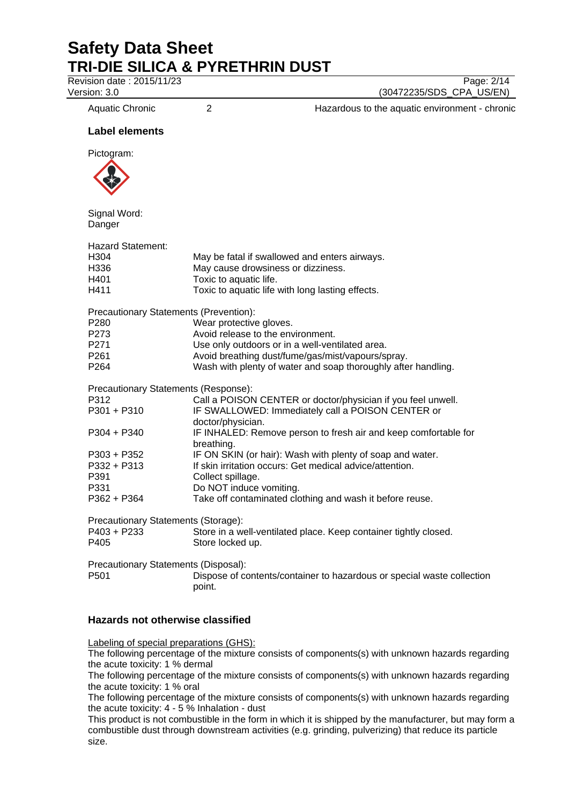**Revision date : 2015/11/23** Page: 2/14

Version: 3.0 (30472235/SDS\_CPA\_US/EN)

Aquatic Chronic 2 2 2 Hazardous to the aquatic environment - chronic

## **Label elements**

Pictogram:



Signal Word: Danger

| <b>Hazard Statement:</b>                      |                                                                                  |
|-----------------------------------------------|----------------------------------------------------------------------------------|
| H304                                          | May be fatal if swallowed and enters airways.                                    |
| H336                                          | May cause drowsiness or dizziness.                                               |
| H401                                          | Toxic to aquatic life.                                                           |
| H411                                          | Toxic to aquatic life with long lasting effects.                                 |
| <b>Precautionary Statements (Prevention):</b> |                                                                                  |
| P280                                          | Wear protective gloves.                                                          |
| P273                                          | Avoid release to the environment.                                                |
| P271                                          | Use only outdoors or in a well-ventilated area.                                  |
| P261                                          | Avoid breathing dust/fume/gas/mist/vapours/spray.                                |
| P264                                          | Wash with plenty of water and soap thoroughly after handling.                    |
| Precautionary Statements (Response):          |                                                                                  |
| P312                                          | Call a POISON CENTER or doctor/physician if you feel unwell.                     |
| P301 + P310                                   | IF SWALLOWED: Immediately call a POISON CENTER or                                |
|                                               | doctor/physician.                                                                |
| P304 + P340                                   | IF INHALED: Remove person to fresh air and keep comfortable for                  |
|                                               | breathing.                                                                       |
| P303 + P352                                   | IF ON SKIN (or hair): Wash with plenty of soap and water.                        |
| P332 + P313                                   | If skin irritation occurs: Get medical advice/attention.                         |
| P391                                          | Collect spillage.                                                                |
| P331                                          | Do NOT induce vomiting.                                                          |
| P362 + P364                                   | Take off contaminated clothing and wash it before reuse.                         |
| Precautionary Statements (Storage):           |                                                                                  |
| P403 + P233                                   | Store in a well-ventilated place. Keep container tightly closed.                 |
| P405                                          | Store locked up.                                                                 |
| Precautionary Statements (Disposal):          |                                                                                  |
| P501                                          | Dispose of contents/container to hazardous or special waste collection<br>point. |
|                                               |                                                                                  |

## **Hazards not otherwise classified**

Labeling of special preparations (GHS):

The following percentage of the mixture consists of components(s) with unknown hazards regarding the acute toxicity: 1 % dermal

The following percentage of the mixture consists of components(s) with unknown hazards regarding the acute toxicity: 1 % oral

The following percentage of the mixture consists of components(s) with unknown hazards regarding the acute toxicity: 4 - 5 % Inhalation - dust

This product is not combustible in the form in which it is shipped by the manufacturer, but may form a combustible dust through downstream activities (e.g. grinding, pulverizing) that reduce its particle size.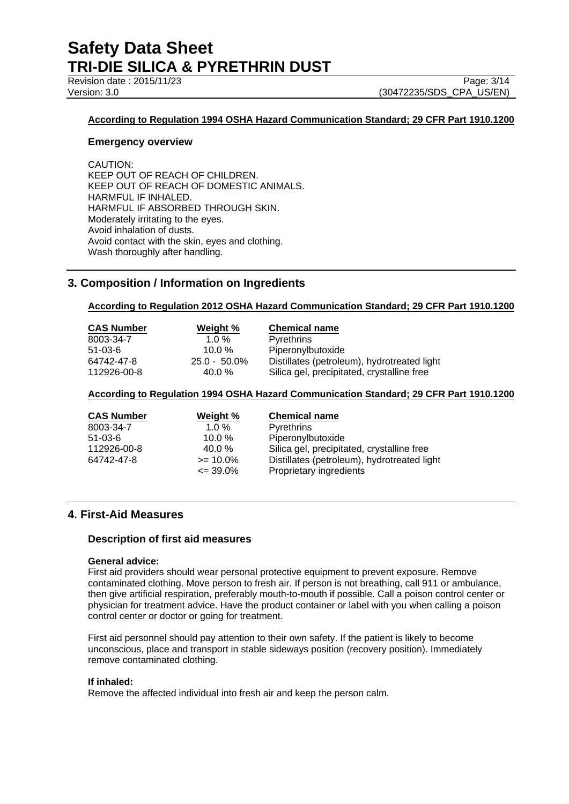Revision date : 2015/11/23

Version: 3.0 (30472235/SDS\_CPA\_US/EN)

## **According to Regulation 1994 OSHA Hazard Communication Standard; 29 CFR Part 1910.1200**

## **Emergency overview**

CAUTION: KEEP OUT OF REACH OF CHILDREN. KEEP OUT OF REACH OF DOMESTIC ANIMALS. HARMFUL IF INHALED. HARMFUL IF ABSORBED THROUGH SKIN. Moderately irritating to the eyes. Avoid inhalation of dusts. Avoid contact with the skin, eyes and clothing. Wash thoroughly after handling.

## **3. Composition / Information on Ingredients**

## **According to Regulation 2012 OSHA Hazard Communication Standard; 29 CFR Part 1910.1200**

| <b>CAS Number</b> | Weight %        | <b>Chemical name</b>                        |
|-------------------|-----------------|---------------------------------------------|
| 8003-34-7         | 1.0 $%$         | <b>Pyrethrins</b>                           |
| 51-03-6           | 10.0 $%$        | Piperonylbutoxide                           |
| 64742-47-8        | $25.0 - 50.0\%$ | Distillates (petroleum), hydrotreated light |
| 112926-00-8       | $40.0 \%$       | Silica gel, precipitated, crystalline free  |

## **According to Regulation 1994 OSHA Hazard Communication Standard; 29 CFR Part 1910.1200**

| <b>CAS Number</b> | Weight %     | <b>Chemical name</b>                        |
|-------------------|--------------|---------------------------------------------|
| 8003-34-7         | $1.0 \%$     | Pyrethrins                                  |
| 51-03-6           | 10.0 $%$     | Piperonylbutoxide                           |
| 112926-00-8       | $40.0 \%$    | Silica gel, precipitated, crystalline free  |
| 64742-47-8        | $>= 10.0\%$  | Distillates (petroleum), hydrotreated light |
|                   | $\leq$ 39.0% | Proprietary ingredients                     |

## **4. First-Aid Measures**

## **Description of first aid measures**

## **General advice:**

First aid providers should wear personal protective equipment to prevent exposure. Remove contaminated clothing. Move person to fresh air. If person is not breathing, call 911 or ambulance, then give artificial respiration, preferably mouth-to-mouth if possible. Call a poison control center or physician for treatment advice. Have the product container or label with you when calling a poison control center or doctor or going for treatment.

First aid personnel should pay attention to their own safety. If the patient is likely to become unconscious, place and transport in stable sideways position (recovery position). Immediately remove contaminated clothing.

## **If inhaled:**

Remove the affected individual into fresh air and keep the person calm.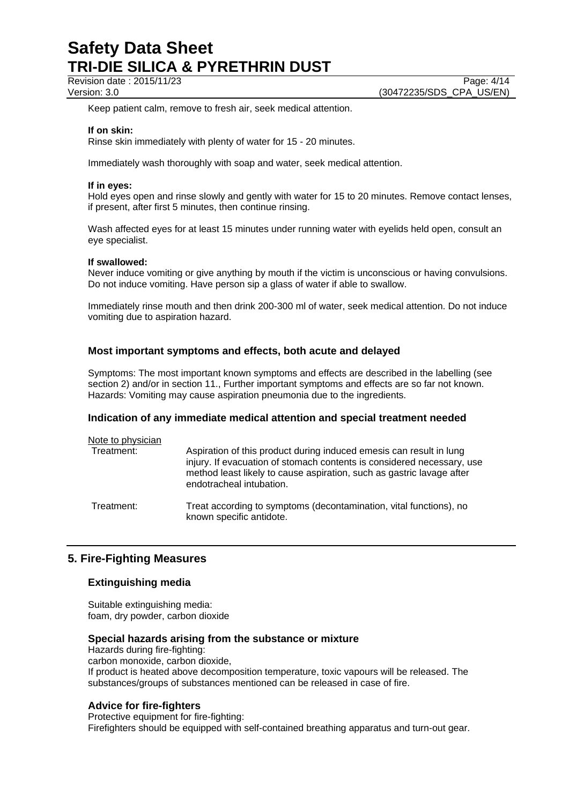Revision date : 2015/11/23 Page: 4/14

Keep patient calm, remove to fresh air, seek medical attention.

## **If on skin:**

Rinse skin immediately with plenty of water for 15 - 20 minutes.

Immediately wash thoroughly with soap and water, seek medical attention.

## **If in eyes:**

Hold eyes open and rinse slowly and gently with water for 15 to 20 minutes. Remove contact lenses, if present, after first 5 minutes, then continue rinsing.

Wash affected eyes for at least 15 minutes under running water with eyelids held open, consult an eye specialist.

## **If swallowed:**

Never induce vomiting or give anything by mouth if the victim is unconscious or having convulsions. Do not induce vomiting. Have person sip a glass of water if able to swallow.

Immediately rinse mouth and then drink 200-300 ml of water, seek medical attention. Do not induce vomiting due to aspiration hazard.

## **Most important symptoms and effects, both acute and delayed**

Symptoms: The most important known symptoms and effects are described in the labelling (see section 2) and/or in section 11., Further important symptoms and effects are so far not known. Hazards: Vomiting may cause aspiration pneumonia due to the ingredients.

## **Indication of any immediate medical attention and special treatment needed**

| Note to physician<br>Treatment: | Aspiration of this product during induced emesis can result in lung<br>injury. If evacuation of stomach contents is considered necessary, use<br>method least likely to cause aspiration, such as gastric lavage after<br>endotracheal intubation. |
|---------------------------------|----------------------------------------------------------------------------------------------------------------------------------------------------------------------------------------------------------------------------------------------------|
| Treatment:                      | Treat according to symptoms (decontamination, vital functions), no<br>known specific antidote.                                                                                                                                                     |

## **5. Fire-Fighting Measures**

## **Extinguishing media**

Suitable extinguishing media: foam, dry powder, carbon dioxide

## **Special hazards arising from the substance or mixture**

Hazards during fire-fighting: carbon monoxide, carbon dioxide, If product is heated above decomposition temperature, toxic vapours will be released. The substances/groups of substances mentioned can be released in case of fire.

## **Advice for fire-fighters**

Protective equipment for fire-fighting: Firefighters should be equipped with self-contained breathing apparatus and turn-out gear.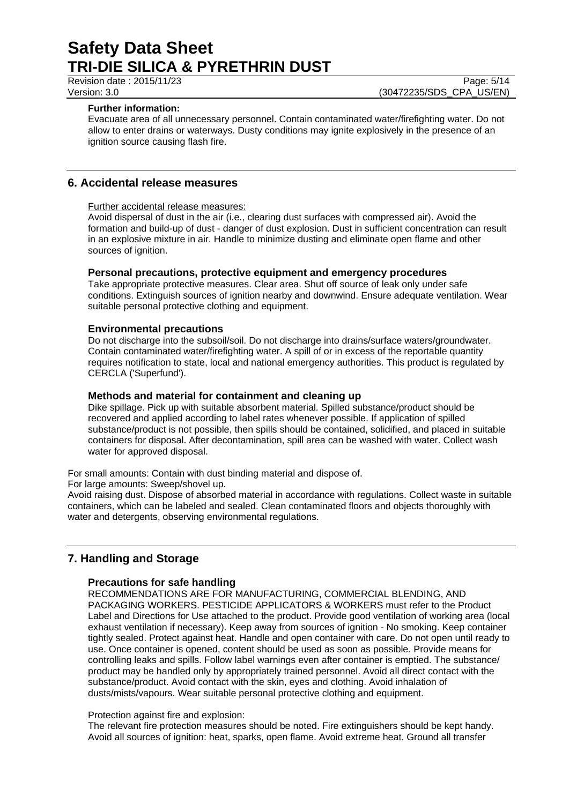Revision date : 2015/11/23 Page: 5/14<br>Version: 3.0 (30472235/SDS\_CPA\_US/EN)

## **Further information:**

Evacuate area of all unnecessary personnel. Contain contaminated water/firefighting water. Do not allow to enter drains or waterways. Dusty conditions may ignite explosively in the presence of an ignition source causing flash fire.

(30472235/SDS\_CPA\_US/EN)

## **6. Accidental release measures**

## Further accidental release measures:

Avoid dispersal of dust in the air (i.e., clearing dust surfaces with compressed air). Avoid the formation and build-up of dust - danger of dust explosion. Dust in sufficient concentration can result in an explosive mixture in air. Handle to minimize dusting and eliminate open flame and other sources of ignition.

## **Personal precautions, protective equipment and emergency procedures**

Take appropriate protective measures. Clear area. Shut off source of leak only under safe conditions. Extinguish sources of ignition nearby and downwind. Ensure adequate ventilation. Wear suitable personal protective clothing and equipment.

## **Environmental precautions**

Do not discharge into the subsoil/soil. Do not discharge into drains/surface waters/groundwater. Contain contaminated water/firefighting water. A spill of or in excess of the reportable quantity requires notification to state, local and national emergency authorities. This product is regulated by CERCLA ('Superfund').

## **Methods and material for containment and cleaning up**

Dike spillage. Pick up with suitable absorbent material. Spilled substance/product should be recovered and applied according to label rates whenever possible. If application of spilled substance/product is not possible, then spills should be contained, solidified, and placed in suitable containers for disposal. After decontamination, spill area can be washed with water. Collect wash water for approved disposal.

For small amounts: Contain with dust binding material and dispose of.

For large amounts: Sweep/shovel up.

Avoid raising dust. Dispose of absorbed material in accordance with regulations. Collect waste in suitable containers, which can be labeled and sealed. Clean contaminated floors and objects thoroughly with water and detergents, observing environmental regulations.

## **7. Handling and Storage**

## **Precautions for safe handling**

RECOMMENDATIONS ARE FOR MANUFACTURING, COMMERCIAL BLENDING, AND PACKAGING WORKERS. PESTICIDE APPLICATORS & WORKERS must refer to the Product Label and Directions for Use attached to the product. Provide good ventilation of working area (local exhaust ventilation if necessary). Keep away from sources of ignition - No smoking. Keep container tightly sealed. Protect against heat. Handle and open container with care. Do not open until ready to use. Once container is opened, content should be used as soon as possible. Provide means for controlling leaks and spills. Follow label warnings even after container is emptied. The substance/ product may be handled only by appropriately trained personnel. Avoid all direct contact with the substance/product. Avoid contact with the skin, eyes and clothing. Avoid inhalation of dusts/mists/vapours. Wear suitable personal protective clothing and equipment.

## Protection against fire and explosion:

The relevant fire protection measures should be noted. Fire extinguishers should be kept handy. Avoid all sources of ignition: heat, sparks, open flame. Avoid extreme heat. Ground all transfer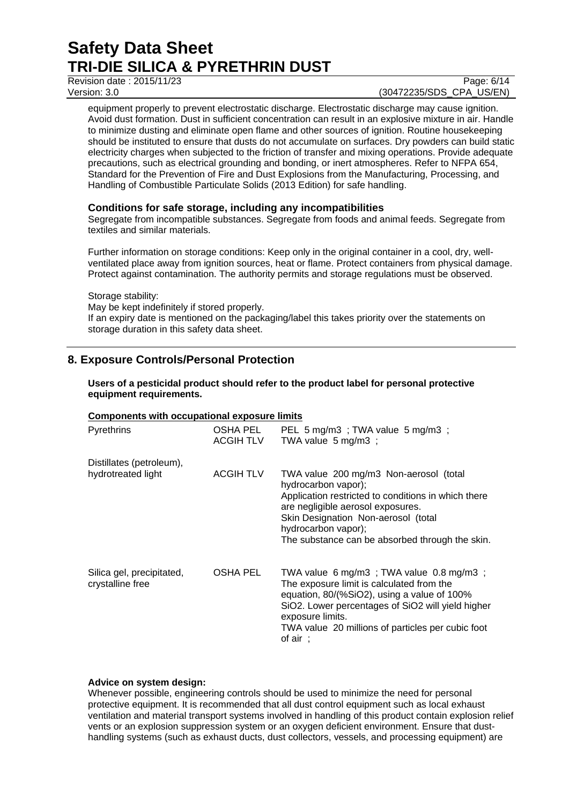Revision date : 2015/11/23 Page: 6/14

## Version: 3.0 (30472235/SDS\_CPA\_US/EN)

equipment properly to prevent electrostatic discharge. Electrostatic discharge may cause ignition. Avoid dust formation. Dust in sufficient concentration can result in an explosive mixture in air. Handle to minimize dusting and eliminate open flame and other sources of ignition. Routine housekeeping should be instituted to ensure that dusts do not accumulate on surfaces. Dry powders can build static electricity charges when subjected to the friction of transfer and mixing operations. Provide adequate precautions, such as electrical grounding and bonding, or inert atmospheres. Refer to NFPA 654, Standard for the Prevention of Fire and Dust Explosions from the Manufacturing, Processing, and Handling of Combustible Particulate Solids (2013 Edition) for safe handling.

## **Conditions for safe storage, including any incompatibilities**

Segregate from incompatible substances. Segregate from foods and animal feeds. Segregate from textiles and similar materials.

Further information on storage conditions: Keep only in the original container in a cool, dry, wellventilated place away from ignition sources, heat or flame. Protect containers from physical damage. Protect against contamination. The authority permits and storage regulations must be observed.

Storage stability:

May be kept indefinitely if stored properly. If an expiry date is mentioned on the packaging/label this takes priority over the statements on storage duration in this safety data sheet.

## **8. Exposure Controls/Personal Protection**

**Users of a pesticidal product should refer to the product label for personal protective equipment requirements.**

## **Components with occupational exposure limits**

| <b>Pyrethrins</b>                              | OSHA PEL<br><b>ACGIH TLV</b> | PEL 5 mg/m3 ; TWA value 5 mg/m3 ;<br>TWA value 5 mg/m3 ;                                                                                                                                                                                                                                     |
|------------------------------------------------|------------------------------|----------------------------------------------------------------------------------------------------------------------------------------------------------------------------------------------------------------------------------------------------------------------------------------------|
| Distillates (petroleum),<br>hydrotreated light | <b>ACGIH TLV</b>             | TWA value 200 mg/m3 Non-aerosol (total<br>hydrocarbon vapor);<br>Application restricted to conditions in which there<br>are negligible aerosol exposures.<br>Skin Designation Non-aerosol (total<br>hydrocarbon vapor);<br>The substance can be absorbed through the skin.                   |
| Silica gel, precipitated,<br>crystalline free  | OSHA PEL                     | TWA value 6 mg/m3 ; TWA value $0.8$ mg/m3 ;<br>The exposure limit is calculated from the<br>equation, 80/(%SiO2), using a value of 100%<br>SiO2. Lower percentages of SiO2 will yield higher<br>exposure limits.<br>TWA value 20 millions of particles per cubic foot<br>of air $\therefore$ |

## **Advice on system design:**

Whenever possible, engineering controls should be used to minimize the need for personal protective equipment. It is recommended that all dust control equipment such as local exhaust ventilation and material transport systems involved in handling of this product contain explosion relief vents or an explosion suppression system or an oxygen deficient environment. Ensure that dusthandling systems (such as exhaust ducts, dust collectors, vessels, and processing equipment) are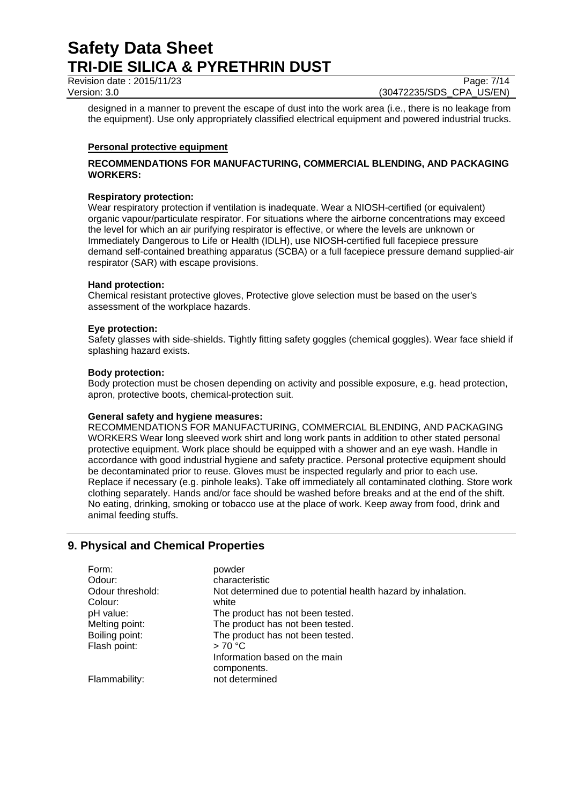Revision date : 2015/11/23 Page: 7/14

Version: 3.0 (30472235/SDS\_CPA\_US/EN)

designed in a manner to prevent the escape of dust into the work area (i.e., there is no leakage from the equipment). Use only appropriately classified electrical equipment and powered industrial trucks.

## **Personal protective equipment**

## **RECOMMENDATIONS FOR MANUFACTURING, COMMERCIAL BLENDING, AND PACKAGING WORKERS:**

## **Respiratory protection:**

Wear respiratory protection if ventilation is inadequate. Wear a NIOSH-certified (or equivalent) organic vapour/particulate respirator. For situations where the airborne concentrations may exceed the level for which an air purifying respirator is effective, or where the levels are unknown or Immediately Dangerous to Life or Health (IDLH), use NIOSH-certified full facepiece pressure demand self-contained breathing apparatus (SCBA) or a full facepiece pressure demand supplied-air respirator (SAR) with escape provisions.

## **Hand protection:**

Chemical resistant protective gloves, Protective glove selection must be based on the user's assessment of the workplace hazards.

#### **Eye protection:**

Safety glasses with side-shields. Tightly fitting safety goggles (chemical goggles). Wear face shield if splashing hazard exists.

#### **Body protection:**

Body protection must be chosen depending on activity and possible exposure, e.g. head protection, apron, protective boots, chemical-protection suit.

## **General safety and hygiene measures:**

RECOMMENDATIONS FOR MANUFACTURING, COMMERCIAL BLENDING, AND PACKAGING WORKERS Wear long sleeved work shirt and long work pants in addition to other stated personal protective equipment. Work place should be equipped with a shower and an eye wash. Handle in accordance with good industrial hygiene and safety practice. Personal protective equipment should be decontaminated prior to reuse. Gloves must be inspected regularly and prior to each use. Replace if necessary (e.g. pinhole leaks). Take off immediately all contaminated clothing. Store work clothing separately. Hands and/or face should be washed before breaks and at the end of the shift. No eating, drinking, smoking or tobacco use at the place of work. Keep away from food, drink and animal feeding stuffs.

## **9. Physical and Chemical Properties**

| Form:                       | powder                                                                |
|-----------------------------|-----------------------------------------------------------------------|
| Odour:                      | characteristic                                                        |
| Odour threshold:<br>Colour: | Not determined due to potential health hazard by inhalation.<br>white |
| pH value:                   | The product has not been tested.                                      |
| Melting point:              | The product has not been tested.                                      |
| Boiling point:              | The product has not been tested.                                      |
| Flash point:                | >70 °C                                                                |
|                             | Information based on the main                                         |
|                             | components.                                                           |
| Flammability:               | not determined                                                        |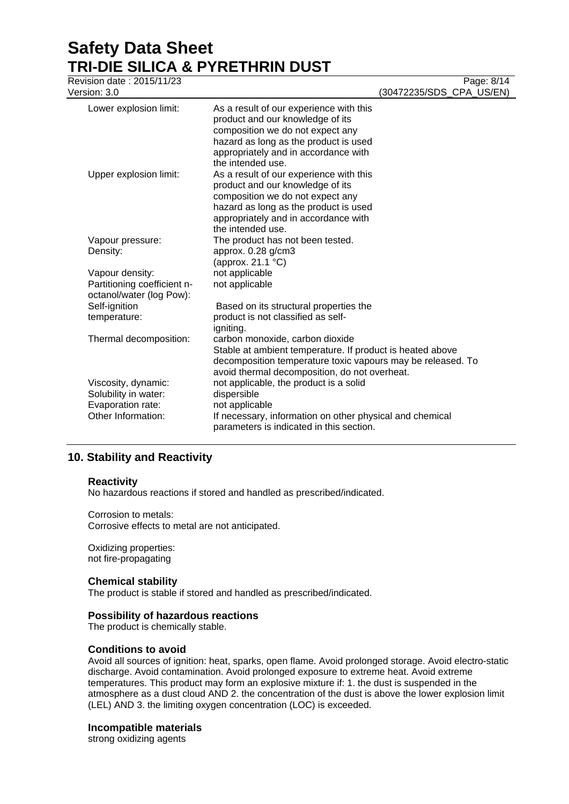Revision date : 2015/11/23 Page: 8/14 Version: 3.0 (30472235/SDS\_CPA\_US/EN) Lower explosion limit: As a result of our experience with this product and our knowledge of its composition we do not expect any hazard as long as the product is used appropriately and in accordance with the intended use. Upper explosion limit: As a result of our experience with this product and our knowledge of its composition we do not expect any hazard as long as the product is used appropriately and in accordance with the intended use. Vapour pressure: The product has not been tested. Density: approx. 0.28 g/cm3 (approx. 21.1 °C) Vapour density: not applicable Partitioning coefficient noctanol/water (log Pow): not applicable Self-ignition temperature: Based on its structural properties the product is not classified as selfigniting. Thermal decomposition: carbon monoxide, carbon dioxide Stable at ambient temperature. If product is heated above decomposition temperature toxic vapours may be released. To avoid thermal decomposition, do not overheat. Viscosity, dynamic: not applicable, the product is a solid Solubility in water: dispersible Evaporation rate: not applicable Other Information: If necessary, information on other physical and chemical parameters is indicated in this section.

## **10. Stability and Reactivity**

## **Reactivity**

No hazardous reactions if stored and handled as prescribed/indicated.

Corrosion to metals: Corrosive effects to metal are not anticipated.

Oxidizing properties: not fire-propagating

## **Chemical stability**

The product is stable if stored and handled as prescribed/indicated.

## **Possibility of hazardous reactions**

The product is chemically stable.

## **Conditions to avoid**

Avoid all sources of ignition: heat, sparks, open flame. Avoid prolonged storage. Avoid electro-static discharge. Avoid contamination. Avoid prolonged exposure to extreme heat. Avoid extreme temperatures. This product may form an explosive mixture if: 1. the dust is suspended in the atmosphere as a dust cloud AND 2. the concentration of the dust is above the lower explosion limit (LEL) AND 3. the limiting oxygen concentration (LOC) is exceeded.

## **Incompatible materials**

strong oxidizing agents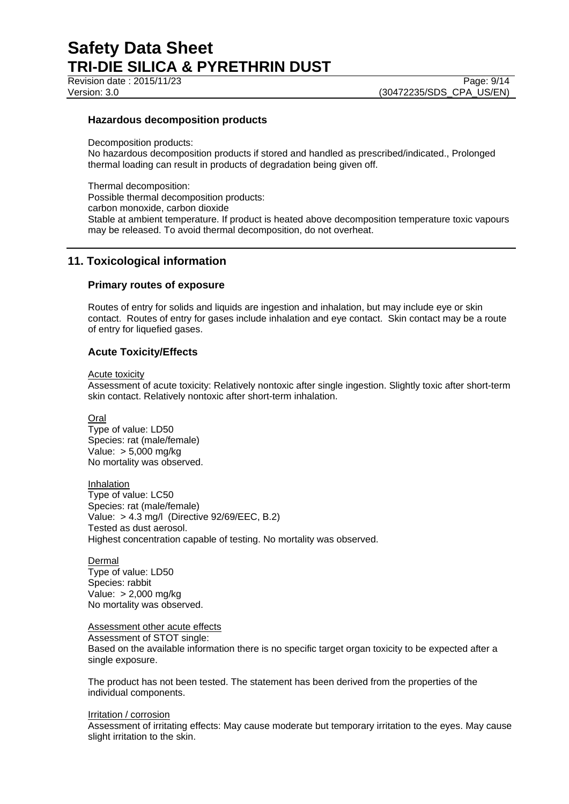Revision date : 2015/11/23 Page: 9/14

Version: 3.0 (30472235/SDS\_CPA\_US/EN)

## **Hazardous decomposition products**

Decomposition products:

No hazardous decomposition products if stored and handled as prescribed/indicated., Prolonged thermal loading can result in products of degradation being given off.

Thermal decomposition: Possible thermal decomposition products: carbon monoxide, carbon dioxide Stable at ambient temperature. If product is heated above decomposition temperature toxic vapours may be released. To avoid thermal decomposition, do not overheat.

## **11. Toxicological information**

## **Primary routes of exposure**

Routes of entry for solids and liquids are ingestion and inhalation, but may include eye or skin contact. Routes of entry for gases include inhalation and eye contact. Skin contact may be a route of entry for liquefied gases.

## **Acute Toxicity/Effects**

Acute toxicity

Assessment of acute toxicity: Relatively nontoxic after single ingestion. Slightly toxic after short-term skin contact. Relatively nontoxic after short-term inhalation.

Oral

Type of value: LD50 Species: rat (male/female) Value: > 5,000 mg/kg No mortality was observed.

Inhalation Type of value: LC50 Species: rat (male/female) Value: > 4.3 mg/l (Directive 92/69/EEC, B.2) Tested as dust aerosol. Highest concentration capable of testing. No mortality was observed.

Dermal Type of value: LD50 Species: rabbit Value: > 2,000 mg/kg No mortality was observed.

## **Assessment other acute effects**

Assessment of STOT single:

Based on the available information there is no specific target organ toxicity to be expected after a single exposure.

The product has not been tested. The statement has been derived from the properties of the individual components.

#### Irritation / corrosion

Assessment of irritating effects: May cause moderate but temporary irritation to the eyes. May cause slight irritation to the skin.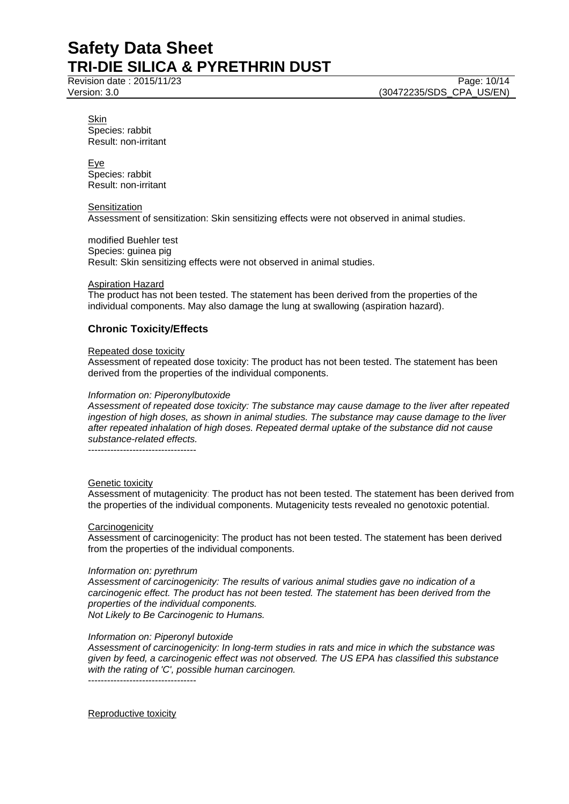Revision date : 2015/11/23 Page: 10/14 Version: 3.0 (30472235/SDS\_CPA\_US/EN)

Skin Species: rabbit Result: non-irritant

Eye Species: rabbit Result: non-irritant

#### **Sensitization**

Assessment of sensitization: Skin sensitizing effects were not observed in animal studies.

modified Buehler test Species: guinea pig Result: Skin sensitizing effects were not observed in animal studies.

## **Aspiration Hazard**

The product has not been tested. The statement has been derived from the properties of the individual components. May also damage the lung at swallowing (aspiration hazard).

## **Chronic Toxicity/Effects**

#### Repeated dose toxicity

Assessment of repeated dose toxicity: The product has not been tested. The statement has been derived from the properties of the individual components.

#### *Information on: Piperonylbutoxide*

*Assessment of repeated dose toxicity: The substance may cause damage to the liver after repeated ingestion of high doses, as shown in animal studies. The substance may cause damage to the liver after repeated inhalation of high doses. Repeated dermal uptake of the substance did not cause substance-related effects.*

----------------------------------

## Genetic toxicity

Assessment of mutagenicity: The product has not been tested. The statement has been derived from the properties of the individual components. Mutagenicity tests revealed no genotoxic potential.

## **Carcinogenicity**

Assessment of carcinogenicity: The product has not been tested. The statement has been derived from the properties of the individual components.

#### *Information on: pyrethrum*

*Assessment of carcinogenicity: The results of various animal studies gave no indication of a carcinogenic effect. The product has not been tested. The statement has been derived from the properties of the individual components. Not Likely to Be Carcinogenic to Humans.*

## *Information on: Piperonyl butoxide*

*Assessment of carcinogenicity: In long-term studies in rats and mice in which the substance was given by feed, a carcinogenic effect was not observed. The US EPA has classified this substance with the rating of 'C', possible human carcinogen.* ----------------------------------

Reproductive toxicity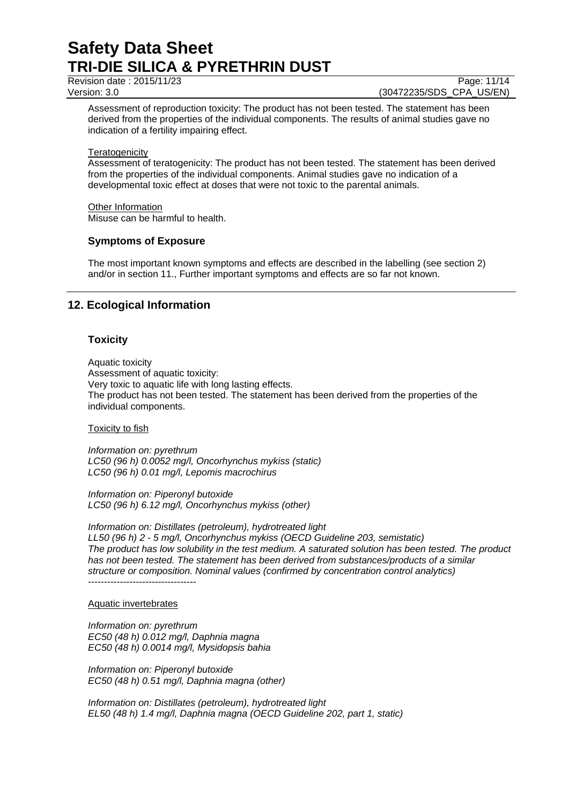Revision date : 2015/11/23 Page: 11/14

Version: 3.0 (30472235/SDS\_CPA\_US/EN)

Assessment of reproduction toxicity: The product has not been tested. The statement has been derived from the properties of the individual components. The results of animal studies gave no indication of a fertility impairing effect.

#### **Teratogenicity**

Assessment of teratogenicity: The product has not been tested. The statement has been derived from the properties of the individual components. Animal studies gave no indication of a developmental toxic effect at doses that were not toxic to the parental animals.

#### Other Information

Misuse can be harmful to health.

## **Symptoms of Exposure**

The most important known symptoms and effects are described in the labelling (see section 2) and/or in section 11., Further important symptoms and effects are so far not known.

## **12. Ecological Information**

## **Toxicity**

Aquatic toxicity Assessment of aquatic toxicity: Very toxic to aquatic life with long lasting effects. The product has not been tested. The statement has been derived from the properties of the individual components.

#### Toxicity to fish

*Information on: pyrethrum LC50 (96 h) 0.0052 mg/l, Oncorhynchus mykiss (static) LC50 (96 h) 0.01 mg/l, Lepomis macrochirus*

*Information on: Piperonyl butoxide LC50 (96 h) 6.12 mg/l, Oncorhynchus mykiss (other)*

*Information on: Distillates (petroleum), hydrotreated light LL50 (96 h) 2 - 5 mg/l, Oncorhynchus mykiss (OECD Guideline 203, semistatic) The product has low solubility in the test medium. A saturated solution has been tested. The product has not been tested. The statement has been derived from substances/products of a similar structure or composition. Nominal values (confirmed by concentration control analytics)* ----------------------------------

#### Aquatic invertebrates

*Information on: pyrethrum EC50 (48 h) 0.012 mg/l, Daphnia magna EC50 (48 h) 0.0014 mg/l, Mysidopsis bahia*

*Information on: Piperonyl butoxide EC50 (48 h) 0.51 mg/l, Daphnia magna (other)*

*Information on: Distillates (petroleum), hydrotreated light EL50 (48 h) 1.4 mg/l, Daphnia magna (OECD Guideline 202, part 1, static)*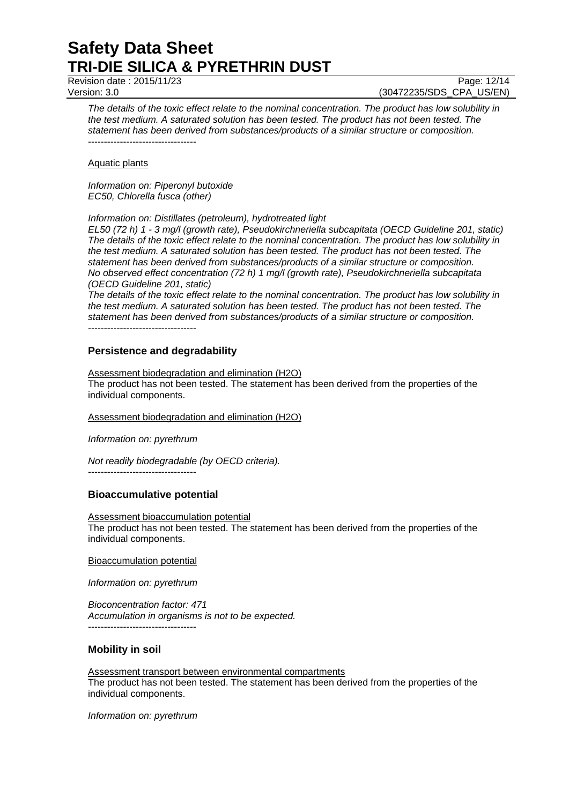Revision date : 2015/11/23 Page: 12/14

Version: 3.0 (30472235/SDS\_CPA\_US/EN)

*The details of the toxic effect relate to the nominal concentration. The product has low solubility in the test medium. A saturated solution has been tested. The product has not been tested. The statement has been derived from substances/products of a similar structure or composition.* ----------------------------------

Aquatic plants

*Information on: Piperonyl butoxide EC50, Chlorella fusca (other)*

*Information on: Distillates (petroleum), hydrotreated light*

*EL50 (72 h) 1 - 3 mg/l (growth rate), Pseudokirchneriella subcapitata (OECD Guideline 201, static) The details of the toxic effect relate to the nominal concentration. The product has low solubility in the test medium. A saturated solution has been tested. The product has not been tested. The statement has been derived from substances/products of a similar structure or composition. No observed effect concentration (72 h) 1 mg/l (growth rate), Pseudokirchneriella subcapitata (OECD Guideline 201, static)*

*The details of the toxic effect relate to the nominal concentration. The product has low solubility in the test medium. A saturated solution has been tested. The product has not been tested. The statement has been derived from substances/products of a similar structure or composition.*

----------------------------------

## **Persistence and degradability**

Assessment biodegradation and elimination (H2O) The product has not been tested. The statement has been derived from the properties of the individual components.

Assessment biodegradation and elimination (H2O)

*Information on: pyrethrum*

*Not readily biodegradable (by OECD criteria).*

----------------------------------

## **Bioaccumulative potential**

Assessment bioaccumulation potential The product has not been tested. The statement has been derived from the properties of the individual components.

Bioaccumulation potential

*Information on: pyrethrum*

*Bioconcentration factor: 471 Accumulation in organisms is not to be expected.* ----------------------------------

## **Mobility in soil**

Assessment transport between environmental compartments The product has not been tested. The statement has been derived from the properties of the individual components.

*Information on: pyrethrum*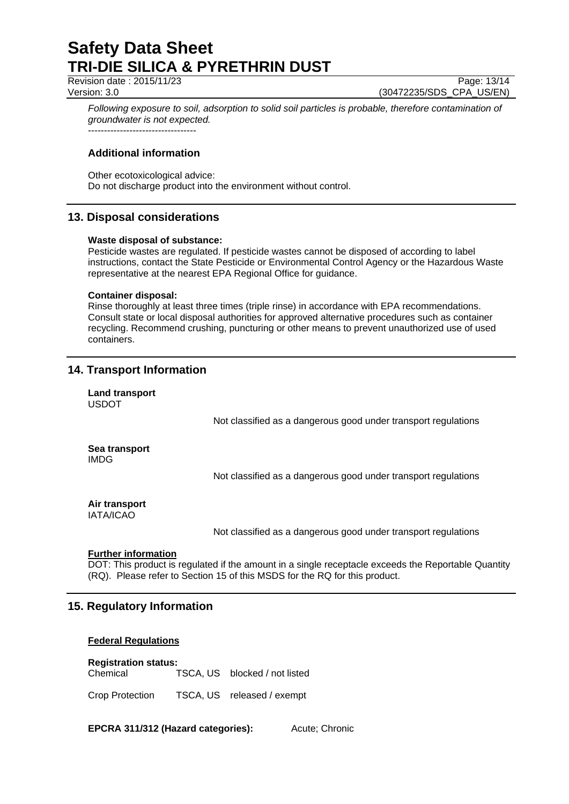Revision date : 2015/11/23 Page: 13/14

Version: 3.0 (30472235/SDS\_CPA\_US/EN)

*Following exposure to soil, adsorption to solid soil particles is probable, therefore contamination of groundwater is not expected.* ----------------------------------

**Additional information**

Other ecotoxicological advice: Do not discharge product into the environment without control.

## **13. Disposal considerations**

## **Waste disposal of substance:**

Pesticide wastes are regulated. If pesticide wastes cannot be disposed of according to label instructions, contact the State Pesticide or Environmental Control Agency or the Hazardous Waste representative at the nearest EPA Regional Office for guidance.

## **Container disposal:**

Rinse thoroughly at least three times (triple rinse) in accordance with EPA recommendations. Consult state or local disposal authorities for approved alternative procedures such as container recycling. Recommend crushing, puncturing or other means to prevent unauthorized use of used containers.

## **14. Transport Information**

**Land transport** USDOT

Not classified as a dangerous good under transport regulations

## **Sea transport** IMDG

Not classified as a dangerous good under transport regulations

#### **Air transport** IATA/ICAO

Not classified as a dangerous good under transport regulations

## **Further information**

DOT: This product is regulated if the amount in a single receptacle exceeds the Reportable Quantity (RQ). Please refer to Section 15 of this MSDS for the RQ for this product.

## **15. Regulatory Information**

## **Federal Regulations**

**Registration status:** Chemical TSCA, US blocked / not listed

Crop Protection TSCA, US released / exempt

**EPCRA 311/312 (Hazard categories):** Acute: Chronic